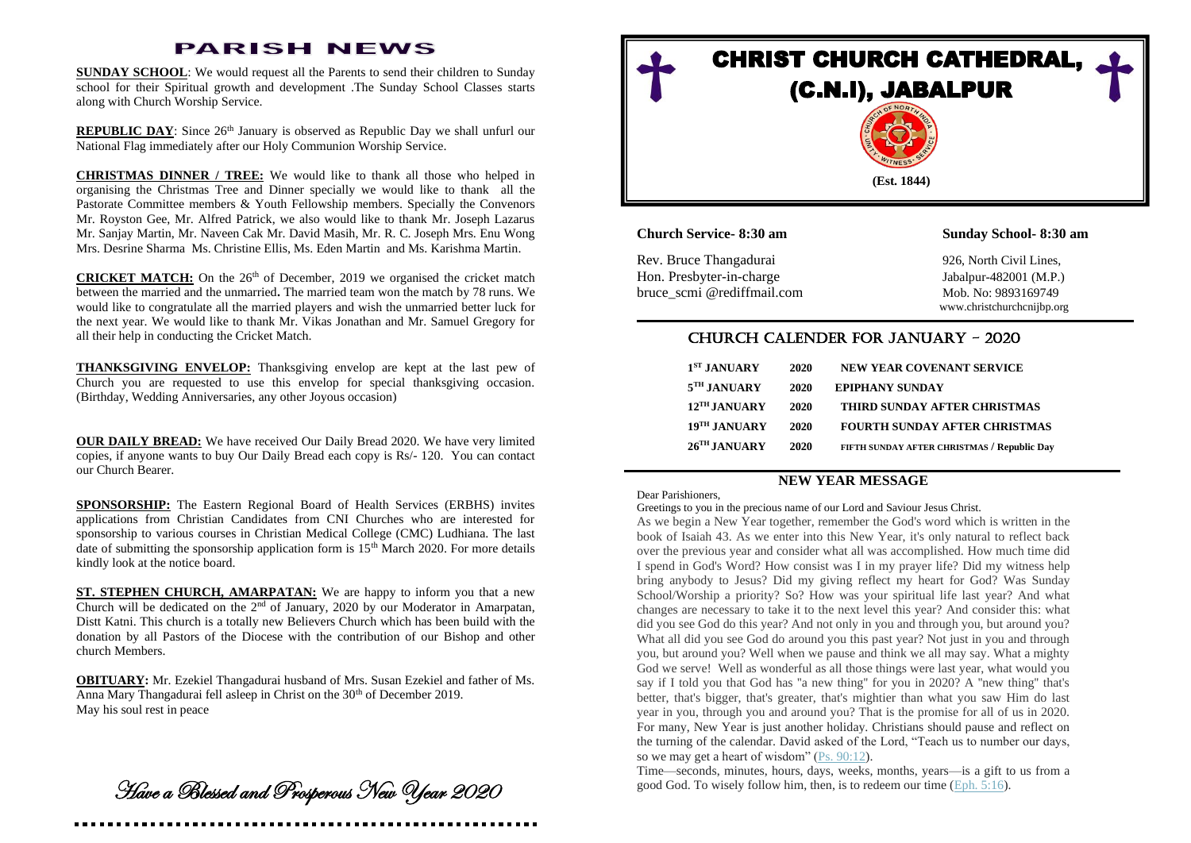# **PARISH NEWS**

**SUNDAY SCHOOL**: We would request all the Parents to send their children to Sunday school for their Spiritual growth and development .The Sunday School Classes starts along with Church Worship Service.

**REPUBLIC DAY**: Since 26<sup>th</sup> January is observed as Republic Day we shall unfurl our National Flag immediately after our Holy Communion Worship Service.

**CHRISTMAS DINNER / TREE:** We would like to thank all those who helped in organising the Christmas Tree and Dinner specially we would like to thank all the Pastorate Committee members & Youth Fellowship members. Specially the Convenors Mr. Royston Gee, Mr. Alfred Patrick, we also would like to thank Mr. Joseph Lazarus Mr. Sanjay Martin, Mr. Naveen Cak Mr. David Masih, Mr. R. C. Joseph Mrs. Enu Wong Mrs. Desrine Sharma Ms. Christine Ellis, Ms. Eden Martin and Ms. Karishma Martin.

**CRICKET MATCH:** On the 26<sup>th</sup> of December, 2019 we organised the cricket match between the married and the unmarried**.** The married team won the match by 78 runs. We would like to congratulate all the married players and wish the unmarried better luck for the next year. We would like to thank Mr. Vikas Jonathan and Mr. Samuel Gregory for all their help in conducting the Cricket Match.

**THANKSGIVING ENVELOP:** Thanksgiving envelop are kept at the last pew of Church you are requested to use this envelop for special thanksgiving occasion. (Birthday, Wedding Anniversaries, any other Joyous occasion)

**OUR DAILY BREAD:** We have received Our Daily Bread 2020. We have very limited copies, if anyone wants to buy Our Daily Bread each copy is Rs/- 120. You can contact our Church Bearer.

**SPONSORSHIP:** The Eastern Regional Board of Health Services (ERBHS) invites applications from Christian Candidates from CNI Churches who are interested for sponsorship to various courses in Christian Medical College (CMC) Ludhiana. The last date of submitting the sponsorship application form is  $15<sup>th</sup>$  March 2020. For more details kindly look at the notice board.

**ST. STEPHEN CHURCH, AMARPATAN:** We are happy to inform you that a new Church will be dedicated on the  $2<sup>nd</sup>$  of January, 2020 by our Moderator in Amarpatan, Distt Katni. This church is a totally new Believers Church which has been build with the donation by all Pastors of the Diocese with the contribution of our Bishop and other church Members.

**OBITUARY:** Mr. Ezekiel Thangadurai husband of Mrs. Susan Ezekiel and father of Ms. Anna Mary Thangadurai fell asleep in Christ on the 30<sup>th</sup> of December 2019. May his soul rest in peace

Have a Blessed and Prosperous New Year 2020



**Church Service- 8:30 am Sunday School- 8:30 am**

Rev. Bruce Thangadurai 926, North Civil Lines, Hon. Presbyter-in-charge Jabalpur-482001 (M.P.) bruce\_scmi @rediffmail.com Mob. No: 9893169749

www.christchurchcnijbp.org

## CHURCH CALENDER FOR JANUARY - 2020

| $1ST$ JANUARY            | 2020 | <b>NEW YEAR COVENANT SERVICE</b>                   |
|--------------------------|------|----------------------------------------------------|
| 5 <sup>TH</sup> JANUARY  | 2020 | <b>EPIPHANY SUNDAY</b>                             |
| $12TH$ JANUARY           | 2020 | THIRD SUNDAY AFTER CHRISTMAS                       |
| 19 <sup>TH</sup> JANUARY | 2020 | <b>FOURTH SUNDAY AFTER CHRISTMAS</b>               |
| 26 <sup>TH</sup> JANUARY | 2020 | <b>FIFTH SUNDAY AFTER CHRISTMAS / Republic Day</b> |

## **NEW YEAR MESSAGE**

#### Dear Parishioners,

#### Greetings to you in the precious name of our Lord and Saviour Jesus Christ.

As we begin a New Year together, remember the God's word which is written in the book of Isaiah 43. As we enter into this New Year, it's only natural to reflect back over the previous year and consider what all was accomplished. How much time did I spend in God's Word? How consist was I in my prayer life? Did my witness help bring anybody to Jesus? Did my giving reflect my heart for God? Was Sunday School/Worship a priority? So? How was your spiritual life last year? And what changes are necessary to take it to the next level this year? And consider this: what did you see God do this year? And not only in you and through you, but around you? What all did you see God do around you this past year? Not just in you and through you, but around you? Well when we pause and think we all may say. What a mighty God we serve! Well as wonderful as all those things were last year, what would you say if I told you that God has "a new thing" for you in 2020? A "new thing" that's better, that's bigger, that's greater, that's mightier than what you saw Him do last year in you, through you and around you? That is the promise for all of us in 2020. For many, New Year is just another holiday. Christians should pause and reflect on the turning of the calendar. David asked of the Lord, "Teach us to number our days, so we may get a heart of wisdom" [\(Ps. 90:12\)](https://www.esv.org/Ps.%2090%3A12/).

Time—seconds, minutes, hours, days, weeks, months, years—is a gift to us from a good God. To wisely follow him, then, is to redeem our time [\(Eph. 5:16\)](https://www.esv.org/Eph.%205%3A16/).